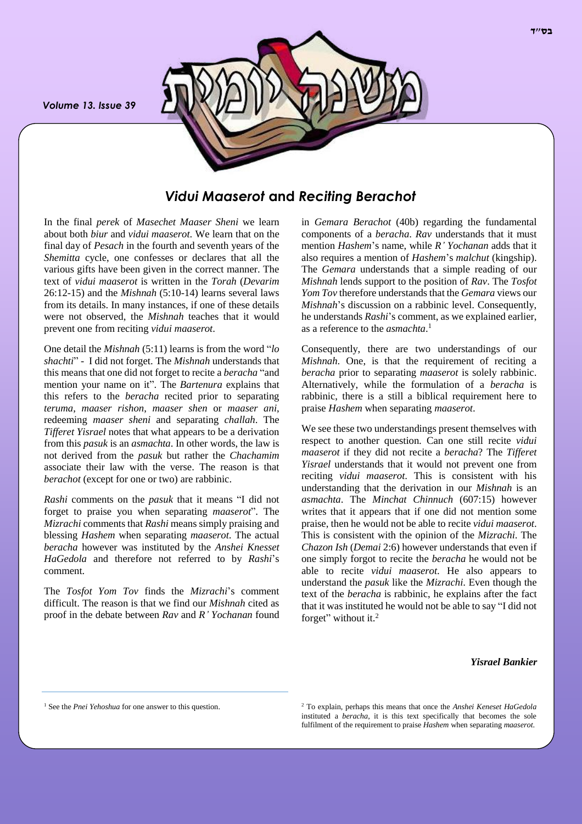*Volume 13. Issue 39*



# *Vidui Maaserot* **and** *Reciting Berachot*

In the final *perek* of *Masechet Maaser Sheni* we learn about both *biur* and *vidui maaserot*. We learn that on the final day of *Pesach* in the fourth and seventh years of the *Shemitta* cycle, one confesses or declares that all the various gifts have been given in the correct manner. The text of *vidui maaserot* is written in the *Torah* (*Devarim*  26:12-15) and the *Mishnah* (5:10-14) learns several laws from its details. In many instances, if one of these details were not observed, the *Mishnah* teaches that it would prevent one from reciting *vidui maaserot*.

One detail the *Mishnah* (5:11) learns is from the word "*lo shachti*" - I did not forget. The *Mishnah* understands that this means that one did not forget to recite a *beracha* "and mention your name on it". The *Bartenura* explains that this refers to the *beracha* recited prior to separating *teruma*, *maaser rishon*, *maaser shen* or *maaser ani*, redeeming *maaser sheni* and separating *challah*. The *Tifferet Yisrael* notes that what appears to be a derivation from this *pasuk* is an *asmachta*. In other words, the law is not derived from the *pasuk* but rather the *Chachamim* associate their law with the verse. The reason is that *berachot* (except for one or two) are rabbinic.

*Rashi* comments on the *pasuk* that it means "I did not forget to praise you when separating *maaserot*". The *Mizrachi* comments that *Rashi* means simply praising and blessing *Hashem* when separating *maaserot*. The actual *beracha* however was instituted by the *Anshei Knesset HaGedola* and therefore not referred to by *Rashi*'s comment.

The *Tosfot Yom Tov* finds the *Mizrachi*'s comment difficult. The reason is that we find our *Mishnah* cited as proof in the debate between *Rav* and *R' Yochanan* found in *Gemara Berachot* (40b) regarding the fundamental components of a *beracha*. *Rav* understands that it must mention *Hashem*'s name, while *R' Yochanan* adds that it also requires a mention of *Hashem*'s *malchut* (kingship). The *Gemara* understands that a simple reading of our *Mishnah* lends support to the position of *Rav*. The *Tosfot Yom Tov* therefore understands that the *Gemara* views our *Mishnah*'s discussion on a rabbinic level. Consequently, he understands *Rashi*'s comment, as we explained earlier, as a reference to the *asmachta*. 1

Consequently, there are two understandings of our *Mishnah*. One, is that the requirement of reciting a *beracha* prior to separating *maaserot* is solely rabbinic. Alternatively, while the formulation of a *beracha* is rabbinic, there is a still a biblical requirement here to praise *Hashem* when separating *maaserot*.

We see these two understandings present themselves with respect to another question. Can one still recite *vidui maaserot* if they did not recite a *beracha*? The *Tifferet Yisrael* understands that it would not prevent one from reciting *vidui maaserot*. This is consistent with his understanding that the derivation in our *Mishnah* is an *asmachta*. The *Minchat Chinnuch* (607:15) however writes that it appears that if one did not mention some praise, then he would not be able to recite *vidui maaserot*. This is consistent with the opinion of the *Mizrachi*. The *Chazon Ish* (*Demai* 2:6) however understands that even if one simply forgot to recite the *beracha* he would not be able to recite *vidui maaserot*. He also appears to understand the *pasuk* like the *Mizrachi*. Even though the text of the *beracha* is rabbinic, he explains after the fact that it was instituted he would not be able to say "I did not forget" without it.<sup>2</sup>

### *Yisrael Bankier*

<sup>2</sup> To explain, perhaps this means that once the *Anshei Keneset HaGedola* instituted a *beracha*, it is this text specifically that becomes the sole fulfilment of the requirement to praise *Hashem* when separating *maaserot*.

<sup>&</sup>lt;sup>1</sup> See the *Pnei Yehoshua* for one answer to this question.